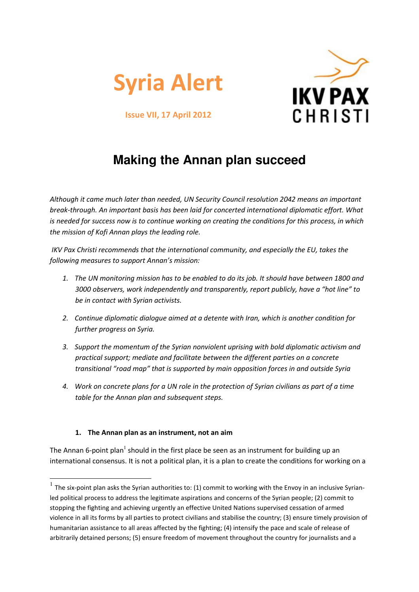



Issue VII, 17 April 2012

# **Making the Annan plan succeed**

Although it came much later than needed, UN Security Council resolution 2042 means an important break-through. An important basis has been laid for concerted international diplomatic effort. What is needed for success now is to continue working on creating the conditions for this process, in which the mission of Kofi Annan plays the leading role.

 IKV Pax Christi recommends that the international community, and especially the EU, takes the following measures to support Annan's mission:

- 1. The UN monitoring mission has to be enabled to do its job. It should have between 1800 and 3000 observers, work independently and transparently, report publicly, have a "hot line" to be in contact with Syrian activists.
- 2. Continue diplomatic dialogue aimed at a detente with Iran, which is another condition for further progress on Syria.
- 3. Support the momentum of the Syrian nonviolent uprising with bold diplomatic activism and practical support; mediate and facilitate between the different parties on a concrete transitional "road map" that is supported by main opposition forces in and outside Syria
- 4. Work on concrete plans for a UN role in the protection of Syrian civilians as part of a time table for the Annan plan and subsequent steps.

## 1. The Annan plan as an instrument, not an aim

The Annan 6-point plan<sup>1</sup> should in the first place be seen as an instrument for building up an international consensus. It is not a political plan, it is a plan to create the conditions for working on a

 $<sup>1</sup>$  The six-point plan asks the Syrian authorities to: (1) commit to working with the Envoy in an inclusive Syrian-</sup> led political process to address the legitimate aspirations and concerns of the Syrian people; (2) commit to stopping the fighting and achieving urgently an effective United Nations supervised cessation of armed violence in all its forms by all parties to protect civilians and stabilise the country; (3) ensure timely provision of humanitarian assistance to all areas affected by the fighting; (4) intensify the pace and scale of release of arbitrarily detained persons; (5) ensure freedom of movement throughout the country for journalists and a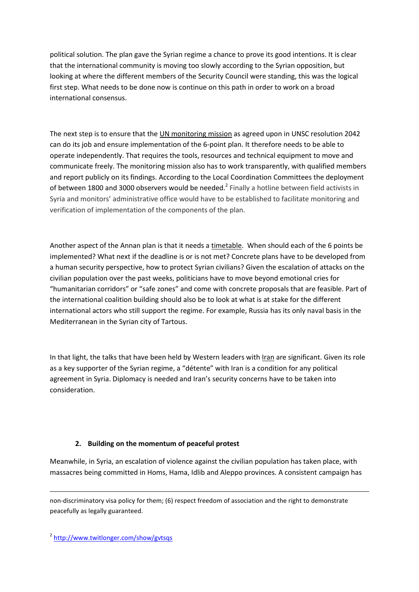political solution. The plan gave the Syrian regime a chance to prove its good intentions. It is clear that the international community is moving too slowly according to the Syrian opposition, but looking at where the different members of the Security Council were standing, this was the logical first step. What needs to be done now is continue on this path in order to work on a broad international consensus.

The next step is to ensure that the UN monitoring mission as agreed upon in UNSC resolution 2042 can do its job and ensure implementation of the 6-point plan. It therefore needs to be able to operate independently. That requires the tools, resources and technical equipment to move and communicate freely. The monitoring mission also has to work transparently, with qualified members and report publicly on its findings. According to the Local Coordination Committees the deployment of between 1800 and 3000 observers would be needed.<sup>2</sup> Finally a hotline between field activists in Syria and monitors' administrative office would have to be established to facilitate monitoring and verification of implementation of the components of the plan.

Another aspect of the Annan plan is that it needs a timetable. When should each of the 6 points be implemented? What next if the deadline is or is not met? Concrete plans have to be developed from a human security perspective, how to protect Syrian civilians? Given the escalation of attacks on the civilian population over the past weeks, politicians have to move beyond emotional cries for "humanitarian corridors" or "safe zones" and come with concrete proposals that are feasible. Part of the international coalition building should also be to look at what is at stake for the different international actors who still support the regime. For example, Russia has its only naval basis in the Mediterranean in the Syrian city of Tartous.

In that light, the talks that have been held by Western leaders with Iran are significant. Given its role as a key supporter of the Syrian regime, a "détente" with Iran is a condition for any political agreement in Syria. Diplomacy is needed and Iran's security concerns have to be taken into consideration.

## 2. Building on the momentum of peaceful protest

Meanwhile, in Syria, an escalation of violence against the civilian population has taken place, with massacres being committed in Homs, Hama, Idlib and Aleppo provinces. A consistent campaign has

non-discriminatory visa policy for them; (6) respect freedom of association and the right to demonstrate peacefully as legally guaranteed.

 $\overline{a}$ 

<sup>&</sup>lt;sup>2</sup> http://www.twitlonger.com/show/gvtsqs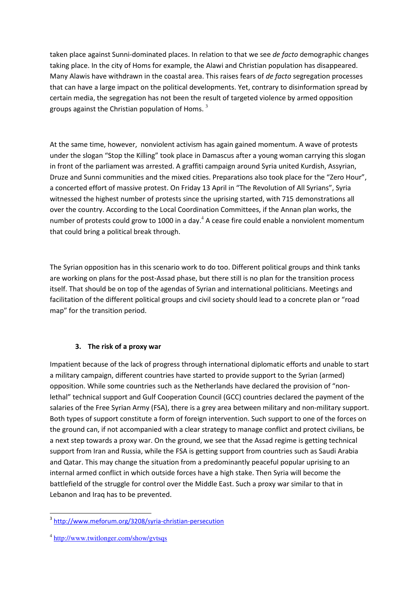taken place against Sunni-dominated places. In relation to that we see de facto demographic changes taking place. In the city of Homs for example, the Alawi and Christian population has disappeared. Many Alawis have withdrawn in the coastal area. This raises fears of de facto segregation processes that can have a large impact on the political developments. Yet, contrary to disinformation spread by certain media, the segregation has not been the result of targeted violence by armed opposition groups against the Christian population of Homs.  $3$ 

At the same time, however, nonviolent activism has again gained momentum. A wave of protests under the slogan "Stop the Killing" took place in Damascus after a young woman carrying this slogan in front of the parliament was arrested. A graffiti campaign around Syria united Kurdish, Assyrian, Druze and Sunni communities and the mixed cities. Preparations also took place for the "Zero Hour", a concerted effort of massive protest. On Friday 13 April in "The Revolution of All Syrians", Syria witnessed the highest number of protests since the uprising started, with 715 demonstrations all over the country. According to the Local Coordination Committees, if the Annan plan works, the number of protests could grow to 1000 in a day. $4$  A cease fire could enable a nonviolent momentum that could bring a political break through.

The Syrian opposition has in this scenario work to do too. Different political groups and think tanks are working on plans for the post-Assad phase, but there still is no plan for the transition process itself. That should be on top of the agendas of Syrian and international politicians. Meetings and facilitation of the different political groups and civil society should lead to a concrete plan or "road map" for the transition period.

## 3. The risk of a proxy war

Impatient because of the lack of progress through international diplomatic efforts and unable to start a military campaign, different countries have started to provide support to the Syrian (armed) opposition. While some countries such as the Netherlands have declared the provision of "nonlethal" technical support and Gulf Cooperation Council (GCC) countries declared the payment of the salaries of the Free Syrian Army (FSA), there is a grey area between military and non-military support. Both types of support constitute a form of foreign intervention. Such support to one of the forces on the ground can, if not accompanied with a clear strategy to manage conflict and protect civilians, be a next step towards a proxy war. On the ground, we see that the Assad regime is getting technical support from Iran and Russia, while the FSA is getting support from countries such as Saudi Arabia and Qatar. This may change the situation from a predominantly peaceful popular uprising to an internal armed conflict in which outside forces have a high stake. Then Syria will become the battlefield of the struggle for control over the Middle East. Such a proxy war similar to that in Lebanon and Iraq has to be prevented.

L

<sup>&</sup>lt;sup>3</sup> http://www.meforum.org/3208/syria-christian-persecution

<sup>&</sup>lt;sup>4</sup> http://www.twitlonger.com/show/gytsqs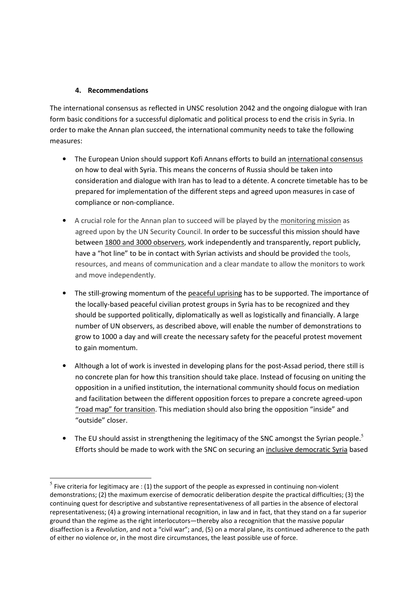### 4. Recommendations

The international consensus as reflected in UNSC resolution 2042 and the ongoing dialogue with Iran form basic conditions for a successful diplomatic and political process to end the crisis in Syria. In order to make the Annan plan succeed, the international community needs to take the following measures:

- The European Union should support Kofi Annans efforts to build an international consensus on how to deal with Syria. This means the concerns of Russia should be taken into consideration and dialogue with Iran has to lead to a détente. A concrete timetable has to be prepared for implementation of the different steps and agreed upon measures in case of compliance or non-compliance.
- A crucial role for the Annan plan to succeed will be played by the monitoring mission as agreed upon by the UN Security Council. In order to be successful this mission should have between 1800 and 3000 observers, work independently and transparently, report publicly, have a "hot line" to be in contact with Syrian activists and should be provided the tools, resources, and means of communication and a clear mandate to allow the monitors to work and move independently.
- The still-growing momentum of the peaceful uprising has to be supported. The importance of the locally-based peaceful civilian protest groups in Syria has to be recognized and they should be supported politically, diplomatically as well as logistically and financially. A large number of UN observers, as described above, will enable the number of demonstrations to grow to 1000 a day and will create the necessary safety for the peaceful protest movement to gain momentum.
- Although a lot of work is invested in developing plans for the post-Assad period, there still is no concrete plan for how this transition should take place. Instead of focusing on uniting the opposition in a unified institution, the international community should focus on mediation and facilitation between the different opposition forces to prepare a concrete agreed-upon "road map" for transition. This mediation should also bring the opposition "inside" and "outside" closer.
- The EU should assist in strengthening the legitimacy of the SNC amongst the Syrian people.<sup>5</sup> Efforts should be made to work with the SNC on securing an inclusive democratic Syria based

<sup>&</sup>lt;sup>5</sup> Five criteria for legitimacy are : (1) the support of the people as expressed in continuing non-violent demonstrations; (2) the maximum exercise of democratic deliberation despite the practical difficulties; (3) the continuing quest for descriptive and substantive representativeness of all parties in the absence of electoral representativeness; (4) a growing international recognition, in law and in fact, that they stand on a far superior ground than the regime as the right interlocutors—thereby also a recognition that the massive popular disaffection is a Revolution, and not a "civil war"; and, (5) on a moral plane, its continued adherence to the path of either no violence or, in the most dire circumstances, the least possible use of force.